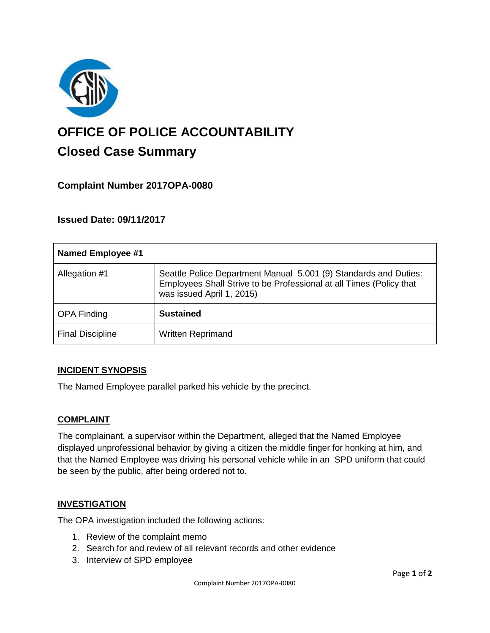

# **OFFICE OF POLICE ACCOUNTABILITY**

# **Closed Case Summary**

# **Complaint Number 2017OPA-0080**

# **Issued Date: 09/11/2017**

| <b>Named Employee #1</b> |                                                                                                                                                                      |
|--------------------------|----------------------------------------------------------------------------------------------------------------------------------------------------------------------|
| Allegation #1            | Seattle Police Department Manual 5.001 (9) Standards and Duties:<br>Employees Shall Strive to be Professional at all Times (Policy that<br>was issued April 1, 2015) |
| <b>OPA Finding</b>       | <b>Sustained</b>                                                                                                                                                     |
| <b>Final Discipline</b>  | <b>Written Reprimand</b>                                                                                                                                             |

## **INCIDENT SYNOPSIS**

The Named Employee parallel parked his vehicle by the precinct.

## **COMPLAINT**

The complainant, a supervisor within the Department, alleged that the Named Employee displayed unprofessional behavior by giving a citizen the middle finger for honking at him, and that the Named Employee was driving his personal vehicle while in an SPD uniform that could be seen by the public, after being ordered not to.

#### **INVESTIGATION**

The OPA investigation included the following actions:

- 1. Review of the complaint memo
- 2. Search for and review of all relevant records and other evidence
- 3. Interview of SPD employee